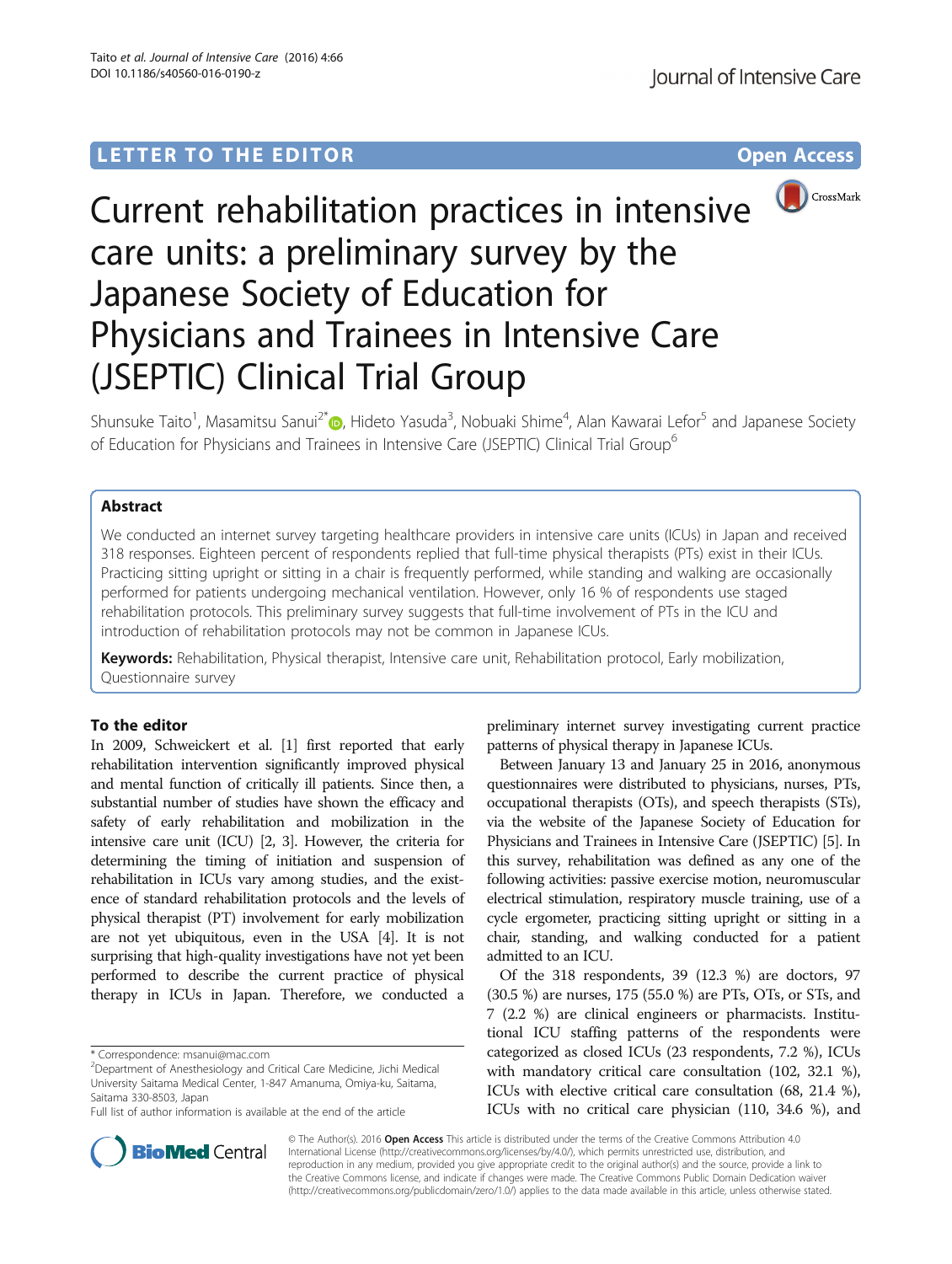## LETTER TO THE EDITOR **CONSIDERING A CONSIDERATION**



# Current rehabilitation practices in intensive care units: a preliminary survey by the Japanese Society of Education for Physicians and Trainees in Intensive Care (JSEPTIC) Clinical Trial Group

Shunsuke Taito<sup>1</sup>, Masamitsu Sanui<sup>2\*</sup>®, Hideto Yasuda<sup>3</sup>, Nobuaki Shime<sup>4</sup>, Alan Kawarai Lefor<sup>5</sup> and Japanese Society of Education for Physicians and Trainees in Intensive Care (JSEPTIC) Clinical Trial Group<sup>6</sup>

## Abstract

We conducted an internet survey targeting healthcare providers in intensive care units (ICUs) in Japan and received 318 responses. Eighteen percent of respondents replied that full-time physical therapists (PTs) exist in their ICUs. Practicing sitting upright or sitting in a chair is frequently performed, while standing and walking are occasionally performed for patients undergoing mechanical ventilation. However, only 16 % of respondents use staged rehabilitation protocols. This preliminary survey suggests that full-time involvement of PTs in the ICU and introduction of rehabilitation protocols may not be common in Japanese ICUs.

Keywords: Rehabilitation, Physical therapist, Intensive care unit, Rehabilitation protocol, Early mobilization, Questionnaire survey

### To the editor

In 2009, Schweickert et al. [[1](#page-2-0)] first reported that early rehabilitation intervention significantly improved physical and mental function of critically ill patients. Since then, a substantial number of studies have shown the efficacy and safety of early rehabilitation and mobilization in the intensive care unit (ICU) [[2](#page-2-0), [3](#page-2-0)]. However, the criteria for determining the timing of initiation and suspension of rehabilitation in ICUs vary among studies, and the existence of standard rehabilitation protocols and the levels of physical therapist (PT) involvement for early mobilization are not yet ubiquitous, even in the USA [\[4](#page-2-0)]. It is not surprising that high-quality investigations have not yet been performed to describe the current practice of physical therapy in ICUs in Japan. Therefore, we conducted a



Between January 13 and January 25 in 2016, anonymous questionnaires were distributed to physicians, nurses, PTs, occupational therapists (OTs), and speech therapists (STs), via the website of the Japanese Society of Education for Physicians and Trainees in Intensive Care (JSEPTIC) [[5](#page-2-0)]. In this survey, rehabilitation was defined as any one of the following activities: passive exercise motion, neuromuscular electrical stimulation, respiratory muscle training, use of a cycle ergometer, practicing sitting upright or sitting in a chair, standing, and walking conducted for a patient admitted to an ICU.

Of the 318 respondents, 39 (12.3 %) are doctors, 97 (30.5 %) are nurses, 175 (55.0 %) are PTs, OTs, or STs, and 7 (2.2 %) are clinical engineers or pharmacists. Institutional ICU staffing patterns of the respondents were categorized as closed ICUs (23 respondents, 7.2 %), ICUs with mandatory critical care consultation (102, 32.1 %), ICUs with elective critical care consultation (68, 21.4 %), ICUs with no critical care physician (110, 34.6 %), and



© The Author(s). 2016 Open Access This article is distributed under the terms of the Creative Commons Attribution 4.0 International License [\(http://creativecommons.org/licenses/by/4.0/](http://creativecommons.org/licenses/by/4.0/)), which permits unrestricted use, distribution, and reproduction in any medium, provided you give appropriate credit to the original author(s) and the source, provide a link to the Creative Commons license, and indicate if changes were made. The Creative Commons Public Domain Dedication waiver [\(http://creativecommons.org/publicdomain/zero/1.0/](http://creativecommons.org/publicdomain/zero/1.0/)) applies to the data made available in this article, unless otherwise stated.

<sup>\*</sup> Correspondence: [msanui@mac.com](mailto:msanui@mac.com) <sup>2</sup>

<sup>&</sup>lt;sup>2</sup>Department of Anesthesiology and Critical Care Medicine, Jichi Medical University Saitama Medical Center, 1-847 Amanuma, Omiya-ku, Saitama, Saitama 330-8503, Japan

Full list of author information is available at the end of the article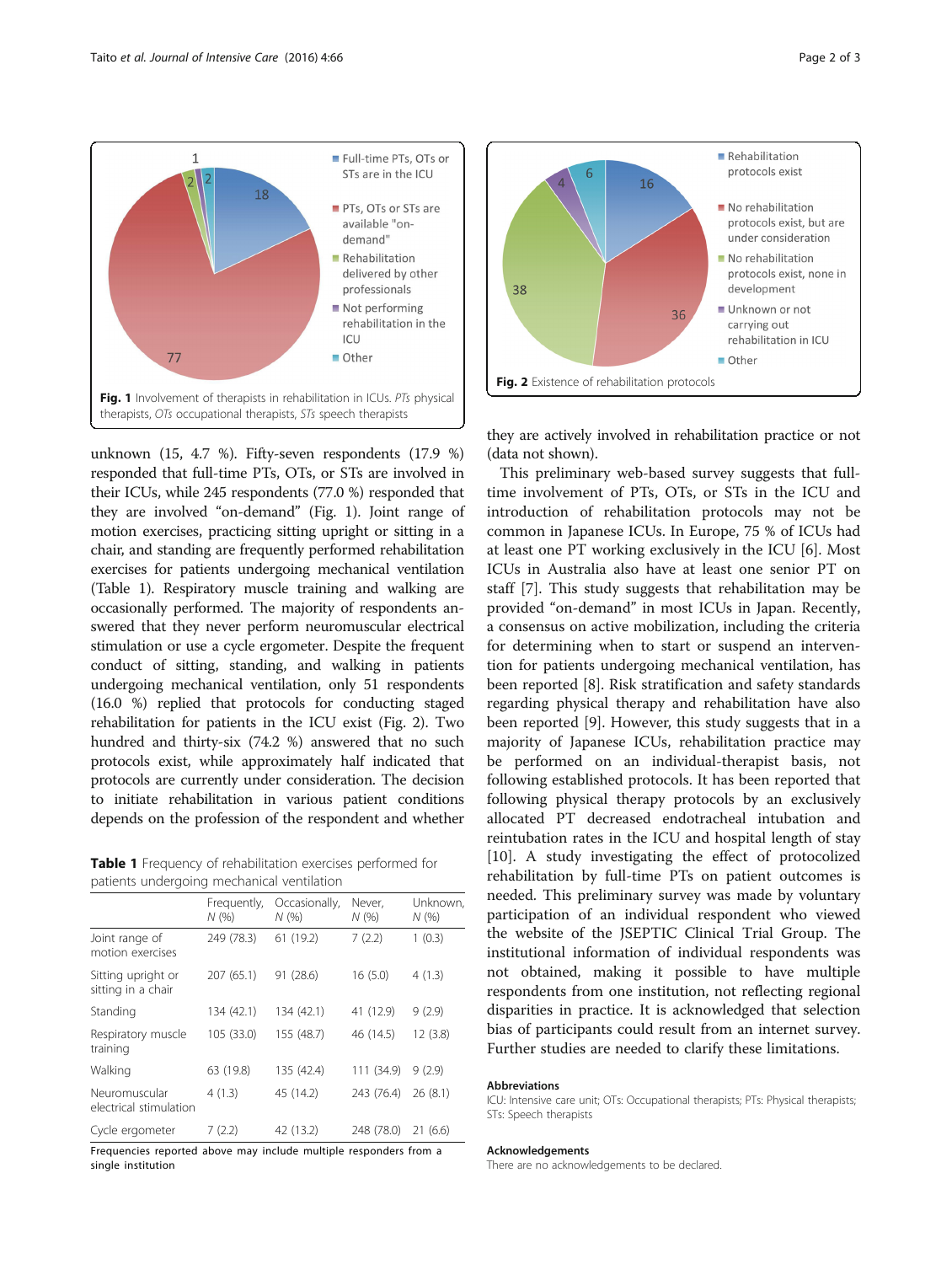

unknown (15, 4.7 %). Fifty-seven respondents (17.9 %) responded that full-time PTs, OTs, or STs are involved in their ICUs, while 245 respondents (77.0 %) responded that they are involved "on-demand" (Fig. 1). Joint range of motion exercises, practicing sitting upright or sitting in a chair, and standing are frequently performed rehabilitation exercises for patients undergoing mechanical ventilation (Table 1). Respiratory muscle training and walking are occasionally performed. The majority of respondents answered that they never perform neuromuscular electrical stimulation or use a cycle ergometer. Despite the frequent conduct of sitting, standing, and walking in patients undergoing mechanical ventilation, only 51 respondents (16.0 %) replied that protocols for conducting staged rehabilitation for patients in the ICU exist (Fig. 2). Two hundred and thirty-six (74.2 %) answered that no such protocols exist, while approximately half indicated that protocols are currently under consideration. The decision to initiate rehabilitation in various patient conditions depends on the profession of the respondent and whether

|  | Table 1 Frequency of rehabilitation exercises performed for |  |  |
|--|-------------------------------------------------------------|--|--|
|  | patients undergoing mechanical ventilation                  |  |  |

|                                          | Frequently,<br>N(96) | Occasionally,<br>N(96) | Never.<br>N(% | Unknown.<br>N(%) |
|------------------------------------------|----------------------|------------------------|---------------|------------------|
| Joint range of<br>motion exercises       | 249 (78.3)           | 61 (19.2)              | 7(2.2)        | 1(0.3)           |
| Sitting upright or<br>sitting in a chair | 207 (65.1)           | 91 (28.6)              | 16(5.0)       | 4(1.3)           |
| Standing                                 | 134 (42.1)           | 134 (42.1)             | 41 (12.9)     | 9(2.9)           |
| Respiratory muscle<br>training           | 105 (33.0)           | 155 (48.7)             | 46 (14.5)     | 12(3.8)          |
| Walking                                  | 63 (19.8)            | 135 (42.4)             | 111 (34.9)    | 9(2.9)           |
| Neuromuscular<br>electrical stimulation  | 4(1.3)               | 45 (14.2)              | 243 (76.4)    | 26(8.1)          |
| Cycle ergometer                          | 7(2.2)               | 42 (13.2)              | 248 (78.0)    | 21(6.6)          |

Frequencies reported above may include multiple responders from a single institution



they are actively involved in rehabilitation practice or not (data not shown).

This preliminary web-based survey suggests that fulltime involvement of PTs, OTs, or STs in the ICU and introduction of rehabilitation protocols may not be common in Japanese ICUs. In Europe, 75 % of ICUs had at least one PT working exclusively in the ICU [\[6\]](#page-2-0). Most ICUs in Australia also have at least one senior PT on staff [\[7\]](#page-2-0). This study suggests that rehabilitation may be provided "on-demand" in most ICUs in Japan. Recently, a consensus on active mobilization, including the criteria for determining when to start or suspend an intervention for patients undergoing mechanical ventilation, has been reported [[8\]](#page-2-0). Risk stratification and safety standards regarding physical therapy and rehabilitation have also been reported [[9](#page-2-0)]. However, this study suggests that in a majority of Japanese ICUs, rehabilitation practice may be performed on an individual-therapist basis, not following established protocols. It has been reported that following physical therapy protocols by an exclusively allocated PT decreased endotracheal intubation and reintubation rates in the ICU and hospital length of stay [[10\]](#page-2-0). A study investigating the effect of protocolized rehabilitation by full-time PTs on patient outcomes is needed. This preliminary survey was made by voluntary participation of an individual respondent who viewed the website of the JSEPTIC Clinical Trial Group. The institutional information of individual respondents was not obtained, making it possible to have multiple respondents from one institution, not reflecting regional disparities in practice. It is acknowledged that selection bias of participants could result from an internet survey. Further studies are needed to clarify these limitations.

#### Abbreviations

ICU: Intensive care unit; OTs: Occupational therapists; PTs: Physical therapists; STs: Speech therapists

#### Acknowledgements

There are no acknowledgements to be declared.